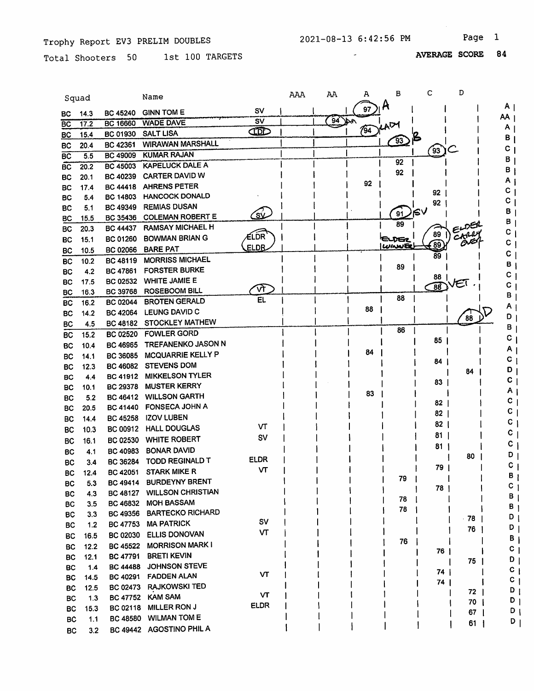Total Shooters 50 1st 100 TARGETS

AVERAGE SCORE 84

|                 | Squad      |                                    | Name                                |             | AAA | AA       | А   | в         | с               | D          |    |              |
|-----------------|------------|------------------------------------|-------------------------------------|-------------|-----|----------|-----|-----------|-----------------|------------|----|--------------|
| BС              | 14.3       | <b>BC 45240</b>                    | <b>GINN TOM E</b>                   | s٧          |     |          | 97  | Ĥ         |                 |            | ΑI |              |
| <b>BC</b>       | 17.2       | <b>BC 16660</b>                    | <b>WADE DAVE</b>                    | SV          |     | $94$ per |     | ADY       |                 |            | AA |              |
| <b>BC</b>       | 15.4       | <b>BC 01930</b>                    | <b>SALT LISA</b>                    | ŒD          |     |          | 794 |           |                 |            | А  |              |
| <b>BC</b>       | 20.4       | BC 42361                           | <b>WIRAWAN MARSHALL</b>             |             |     |          |     | <u>93</u> |                 |            | В  |              |
| $\overline{BC}$ | 5.5        | <b>BC 49009</b>                    | <b>KUMAR RAJAN</b>                  |             |     |          |     |           | ້93ັ            |            | С  |              |
| <b>BC</b>       | 20.2       | <b>BC 45003</b>                    | <b>KAPELUCK DALE A</b>              |             |     |          |     | 92        |                 |            | в  |              |
| <b>BC</b>       | 20.1       | <b>BC 40239</b>                    | CARTER DAVID W                      |             |     |          |     | 92        |                 |            | в  |              |
| <b>BC</b>       | 17.4       | <b>BC 44418</b>                    | <b>AHRENS PETER</b>                 |             |     |          | 92  |           |                 |            | Α  |              |
| <b>BC</b>       | 5.4        | <b>BC 14803</b>                    | <b>HANCOCK DONALD</b>               |             |     |          |     |           | 92              |            | С  |              |
| BC              | 5.1        | <b>BC 49349</b>                    | <b>REMIAS DUSAN</b>                 |             |     |          |     |           | 92              |            | С  |              |
| BC              | 15.5       | <b>BC 35436</b>                    | <b>COLEMAN ROBERT E</b>             | طُلاَگ      |     |          |     | 91        | ∨≱י             |            | В  |              |
| ВC              | 20.3       | <b>BC 44437</b>                    | <b>RAMSAY MICHAEL H</b>             |             |     |          |     | 89        |                 | $\epsilon$ | В  |              |
| BC              | 15.1       | <b>BC 01260</b>                    | <b>BOWMAN BRIAN G</b>               | ELDR        |     |          |     | EUGZ      | 89              | CARRY      |    |              |
| <b>BC</b>       | 10.5       | <b>BC 02066</b>                    | <b>BARE PAT</b>                     | <b>ELDR</b> |     |          |     | WINNER    | $\epsilon$ 89   |            | C  |              |
| <b>BC</b>       | 10.2       | <b>BC 48119</b>                    | <b>MORRISS MICHAEL</b>              |             |     |          |     |           | 89              |            | С  |              |
| <b>BC</b>       | 4.2        | <b>BC 47861</b>                    | <b>FORSTER BURKE</b>                |             |     |          |     | 89        |                 |            | в  |              |
| <b>BC</b>       | 17.5       | <b>BC 02532</b>                    | <b>WHITE JAMIE E</b>                |             |     |          |     |           | 88              | ÆΪ         | С  |              |
| <b>BC</b>       | 16.3       | BC 39768                           | <b>ROSEBOOM BILL</b>                | দি          |     |          |     |           | $\overline{88}$ |            | С  |              |
| BC              | 16.2       | <b>BC 02044</b>                    | <b>BROTEN GERALD</b>                | EL.         |     |          |     | 88        |                 |            | в  |              |
| <b>BC</b>       | 14.2       | <b>BC 42064</b>                    | <b>LEUNG DAVID C</b>                |             |     |          | 88  |           |                 |            | Α  |              |
| <b>BC</b>       | 4.5        | BC 48182                           | <b>STOCKLEY MATHEW</b>              |             |     |          |     |           |                 | 88         | D  |              |
| <b>BC</b>       | 15.2       | <b>BC 02520</b>                    | <b>FOWLER GORD</b>                  |             |     |          |     | 86        |                 |            |    | в            |
| <b>BC</b>       | 10.4       | <b>BC 46965</b>                    | TREFANENKO JASON N                  |             |     |          |     |           | 85              |            |    | c            |
| <b>BC</b>       | 14.1       | <b>BC 36085</b>                    | MCQUARRIE KELLY P                   |             |     |          | 84  |           |                 |            |    | A            |
| <b>BC</b>       | 12.3       | <b>BC 46082</b>                    | <b>STEVENS DOM</b>                  |             |     |          |     |           | 84              |            |    | c            |
| BС              | 44         | <b>BC 41912</b>                    | <b>MIKKELSON TYLER</b>              |             |     |          |     |           |                 | 84         |    | D            |
| <b>BC</b>       | 10.1       | <b>BC 29378</b>                    | <b>MUSTER KERRY</b>                 |             |     |          |     |           | 83              |            |    | С            |
| <b>BC</b>       | 5.2        | <b>BC 46412</b>                    | <b>WILLSON GARTH</b>                |             |     |          | 83  |           |                 |            |    | Α            |
| <b>BC</b>       | 20.5       | <b>BC 41440</b>                    | <b>FONSECA JOHN A</b>               |             |     |          |     |           | 82              |            |    | c            |
| <b>BC</b>       | 14.4       | <b>BC 45258</b>                    | <b>IZOV LUBEN</b>                   |             |     |          |     |           | 82              |            |    | С            |
| BC              | 10.3       | <b>BC 00912</b>                    | <b>HALL DOUGLAS</b>                 | VΤ          |     |          |     |           | 82              |            |    | c            |
| BC              | 16.1       | <b>BC 02530</b>                    | <b>WHITE ROBERT</b>                 | SV          |     |          |     |           | 81              |            |    | c            |
|                 |            | BC 40983                           | <b>BONAR DAVID</b>                  |             |     |          |     |           | 81              |            |    | С            |
| <b>BC</b>       | 4.1        | <b>BC 36284</b>                    | TODD REGINALD T                     | <b>ELDR</b> |     |          |     |           |                 | 80         |    | D            |
| <b>BC</b>       | 3.4        | BC 42051                           | <b>STARK MIKE R</b>                 | ۷T          |     |          |     |           | 79              |            |    | C            |
| BC              | 12.4       | BC 49414                           | <b>BURDEYNY BRENT</b>               |             |     |          |     | 79        |                 |            |    |              |
| BC              | 5.3        | <b>BC 48127</b>                    | <b>WILLSON CHRISTIAN</b>            |             |     |          |     |           | 78              |            |    | c            |
| BC              | 4.3<br>3.5 | <b>BC 46832</b>                    | <b>MOH BASSAM</b>                   |             |     |          |     | 78        |                 |            |    | в            |
| BC              |            | <b>BC 49356</b>                    | <b>BARTECKO RICHARD</b>             |             |     |          |     | 78        |                 |            |    | В            |
| BC              | 3.3        | <b>BC 47753</b>                    | <b>MA PATRICK</b>                   | SV          |     |          |     |           |                 | 78         |    | D            |
| BC              | 1.2        |                                    | ELLIS DONOVAN                       | VT          |     |          |     |           |                 | 76         |    | D            |
| BC              | 16.5       | <b>BC 02030</b>                    | <b>MORRISON MARK I</b>              |             |     |          |     | 76        |                 |            |    | В            |
| <b>BC</b>       | 12.2       | <b>BC 45522</b>                    |                                     |             |     |          |     |           | 76              |            |    | C            |
| BC              | 12.1       | <b>BC 47791</b>                    | <b>BRETI KEVIN</b><br>JOHNSON STEVE |             |     |          |     |           |                 | 75         |    | D            |
| BC              | 1.4        | <b>BC 44488</b>                    | <b>FADDEN ALAN</b>                  | VΤ          |     |          |     |           | 74 I            |            |    | $c_{\perp}$  |
| BC              | 14.5       | <b>BC 40291</b><br><b>BC 02473</b> | <b>RAJKOWSKI TED</b>                |             |     |          |     |           | 74              |            |    | $\mathbf{c}$ |
| BC              | 12.5       | <b>BC 47752</b>                    | <b>KAM SAM</b>                      | VT          |     |          |     |           |                 | $72$       |    | $D_1$        |
| BC              | 1.3        | <b>BC 02118</b>                    | MILLER RON J                        | <b>ELDR</b> |     |          |     |           |                 | $70 \mid$  |    | $D_1$        |
| BC              | 15.3       | <b>BC 48580</b>                    | <b>WILMAN TOM E</b>                 |             |     |          |     |           |                 | $67 \mid$  |    | $D_1$        |
| ВC              | 1.1        |                                    | BC 49442 AGOSTINO PHIL A            |             |     |          |     |           |                 | $61$       |    | ן ס          |
| BC              | 3.2        |                                    |                                     |             |     |          |     |           |                 |            |    |              |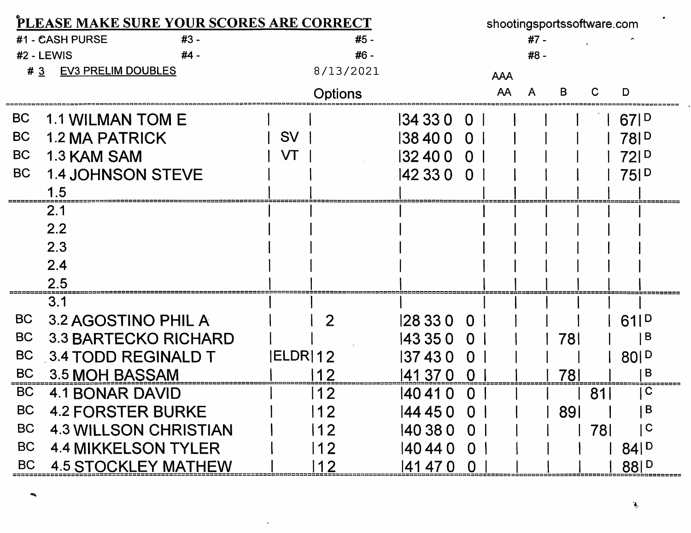| PLEASE MAKE SURE YOUR SCORES ARE CORRECT |                              |           |                |              | shootingsportssoftware.com |            |      |     |            |                              |  |
|------------------------------------------|------------------------------|-----------|----------------|--------------|----------------------------|------------|------|-----|------------|------------------------------|--|
|                                          | #3 -<br>#1 - CASH PURSE      |           | #5 -           |              |                            |            | #7 - |     |            |                              |  |
|                                          | #2 - LEWIS<br>$#4 -$         |           | #6 -           |              |                            |            | #8 - |     |            |                              |  |
| #3                                       | <b>EV3 PRELIM DOUBLES</b>    |           | 8/13/2021      |              |                            | <b>AAA</b> |      |     |            |                              |  |
|                                          |                              |           | <b>Options</b> |              |                            | AA         |      | B   |            | D                            |  |
| <b>BC</b>                                | <b>1.1 WILMAN TOM E</b>      |           |                | 134 33 0 0 1 |                            |            |      |     |            | 67P                          |  |
| <b>BC</b>                                | <b>1.2 MA PATRICK</b>        | <b>SV</b> |                | 138400       | 0 <sup>1</sup>             |            |      |     |            | 78 <sub>1</sub> <sup>D</sup> |  |
| <b>BC</b>                                | 1.3 KAM SAM                  | VT        |                | 32 40 0      | $\Omega$                   |            |      |     |            | 72 <sub>1</sub> <sup>D</sup> |  |
| <b>BC</b>                                | <b>1.4 JOHNSON STEVE</b>     |           |                | 142 33 0     | $\Omega$                   |            |      |     |            | 75P                          |  |
|                                          | 1.5                          |           |                |              |                            |            |      |     |            |                              |  |
|                                          | 2.1                          |           |                |              |                            |            |      |     |            |                              |  |
|                                          | 2.2                          |           |                |              |                            |            |      |     |            |                              |  |
|                                          | 2.3                          |           |                |              |                            |            |      |     |            |                              |  |
|                                          | 2.4                          |           |                |              |                            |            |      |     |            |                              |  |
|                                          | $2.5\,$                      |           |                |              |                            |            |      |     |            |                              |  |
|                                          | 3.1                          |           |                |              |                            |            |      |     |            |                              |  |
| <b>BC</b>                                | 3.2 AGOSTINO PHIL A          |           | 2              | 128 33 0 0   |                            |            |      |     |            | 61 <sub>1</sub> <sup>D</sup> |  |
| <b>BC</b>                                | <b>3.3 BARTECKO RICHARD</b>  |           |                | 143 35 0     | $\Omega$                   |            |      | 78I |            | В                            |  |
| <b>BC</b>                                | 3.4 TODD REGINALD T          | ELDR 12   |                | 137430       | $\Omega$                   |            |      |     |            | 80 P                         |  |
| <b>BC</b>                                | 3.5 MOH BASSAM               |           |                | 141 37 0     | $\bf{0}$                   |            |      | 781 |            | B                            |  |
| <b>BC</b>                                | <b>4.1 BONAR DAVID</b>       |           | 12             | 140 41<br>0  |                            |            |      |     | 81         | C                            |  |
| <b>BC</b>                                | <b>4.2 FORSTER BURKE</b>     |           | 12             | 44 45 0      | $\overline{0}$             |            |      | 891 |            | B                            |  |
| <b>BC</b>                                | <b>4.3 WILLSON CHRISTIAN</b> |           | 12             | 140 38 0     | $\overline{0}$             |            |      |     | <b>781</b> | C                            |  |
| <b>BC</b>                                | <b>4.4 MIKKELSON TYLER</b>   |           | 12             | 140 44 0     | $\Omega$                   |            |      |     |            | $84 ^{D}$                    |  |
| <b>BC</b>                                | <b>4.5 STOCKLEY MATHEW</b>   |           |                | 141 47 0     |                            |            |      |     |            | 88 D                         |  |

 $\mathcal{L}^{\text{max}}_{\text{max}}$  , where  $\mathcal{L}^{\text{max}}_{\text{max}}$ 

٠

 $\mathcal{L}(\mathcal{L}(\mathcal{L}))$  and  $\mathcal{L}(\mathcal{L}(\mathcal{L}))$  . The contribution of  $\mathcal{L}(\mathcal{L})$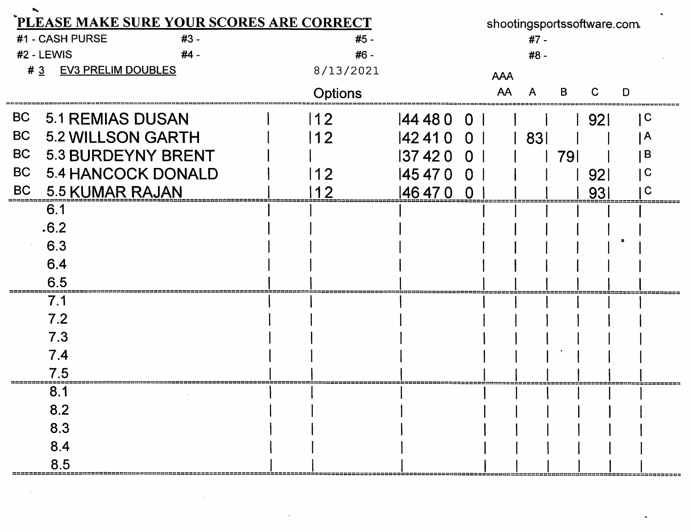| PLEASE MAKE SURE YOUR SCORES ARE CORRECT |                           |  |  |                |          |                |            |      | shootingsportssoftware.com. |                 |   |     |
|------------------------------------------|---------------------------|--|--|----------------|----------|----------------|------------|------|-----------------------------|-----------------|---|-----|
|                                          | #1 - CASH PURSE<br>#3 -   |  |  | #5 -           |          |                |            | #7 - |                             |                 |   |     |
|                                          | #2 - LEWIS<br>$#4 -$      |  |  | #6 -           |          |                |            | #8 - |                             |                 |   |     |
| #3                                       | <b>EV3 PRELIM DOUBLES</b> |  |  | 8/13/2021      |          |                | <b>AAA</b> |      |                             |                 |   |     |
|                                          |                           |  |  | <b>Options</b> |          |                | AA         | Α    | В                           |                 | D |     |
| BC                                       | <b>5.1 REMIAS DUSAN</b>   |  |  | $ 12\rangle$   | 444800   |                |            |      |                             | l 921           |   | l C |
| BC                                       | <b>5.2 WILLSON GARTH</b>  |  |  | 12             | 424100   |                |            | 83   |                             |                 |   | l A |
| BC                                       | <b>5.3 BURDEYNY BRENT</b> |  |  |                | 374200   |                |            |      | 791                         |                 |   | B   |
| BC                                       | 5.4 HANCOCK DONALD        |  |  | 12             | 145 47 0 | $\overline{0}$ |            |      |                             | 92 <sub>l</sub> |   |     |
|                                          | BC 5.5 KUMAR RAJAN        |  |  |                | 146470   | O              |            |      |                             | 931             |   |     |
|                                          | 6.1                       |  |  |                |          |                |            |      |                             |                 |   |     |
|                                          | .6.2                      |  |  |                |          |                |            |      |                             |                 |   |     |
|                                          | 6.3                       |  |  |                |          |                |            |      |                             |                 |   |     |
|                                          | 6.4                       |  |  |                |          |                |            |      |                             |                 |   |     |
|                                          | 6.5                       |  |  |                |          |                |            |      |                             |                 |   |     |
|                                          | 7.1                       |  |  |                |          |                |            |      |                             |                 |   |     |
|                                          | 7.2                       |  |  |                |          |                |            |      |                             |                 |   |     |
|                                          | 7.3                       |  |  |                |          |                |            |      |                             |                 |   |     |
|                                          | 7.4                       |  |  |                |          |                |            |      |                             |                 |   |     |
|                                          |                           |  |  |                |          |                |            |      |                             |                 |   |     |
|                                          | 8.1                       |  |  |                |          |                |            |      |                             |                 |   |     |
|                                          | 8.2                       |  |  |                |          |                |            |      |                             |                 |   |     |
|                                          | 8.3                       |  |  |                |          |                |            |      |                             |                 |   |     |
|                                          | 8.4                       |  |  |                |          |                |            |      |                             |                 |   |     |
|                                          | 8.5                       |  |  |                |          |                |            |      |                             |                 |   |     |

 $\blacksquare$ 

 $\mathcal{A}^{\mathcal{A}}$  and  $\mathcal{A}^{\mathcal{A}}$ 

 $\mathcal{L}^{\mathcal{L}}(\mathcal{L}^{\mathcal{L}})$  and  $\mathcal{L}^{\mathcal{L}}(\mathcal{L}^{\mathcal{L}})$  . The contribution of  $\mathcal{L}^{\mathcal{L}}$ 

 $\mathcal{L}(\mathcal{L})$  and  $\mathcal{L}(\mathcal{L})$  . The set of  $\mathcal{L}(\mathcal{L})$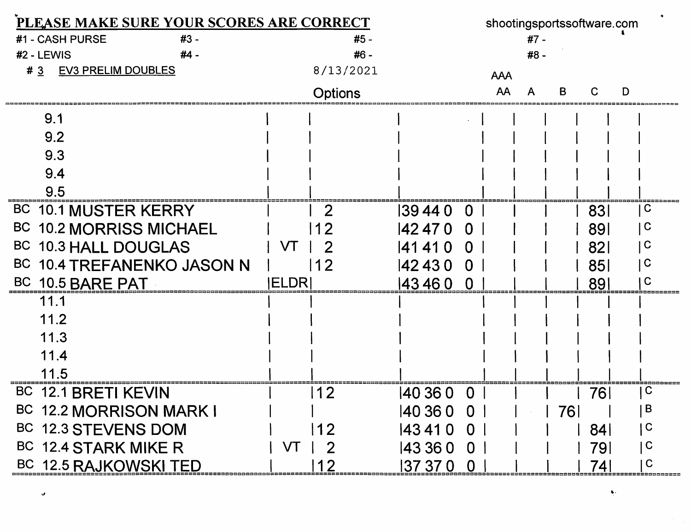| PLEASE MAKE SURE YOUR SCORES ARE CORRECT |                | shootingsportssoftware.com |            |            |                         |
|------------------------------------------|----------------|----------------------------|------------|------------|-------------------------|
| #1 - CASH PURSE<br>#3 -                  | #5 -           |                            | #7 -       |            |                         |
| #2 - LEWIS<br>#4 -                       | #6 -           |                            | #8 -       |            |                         |
| <b>EV3 PRELIM DOUBLES</b><br>#3          | 8/13/2021      |                            | <b>AAA</b> |            |                         |
|                                          | <b>Options</b> |                            | AA<br>А    |            | D                       |
| 9.1                                      |                |                            |            |            |                         |
| 9.2                                      |                |                            |            |            |                         |
| 9.3                                      |                |                            |            |            |                         |
| 9.4                                      |                |                            |            |            |                         |
| 9.5                                      |                |                            |            |            |                         |
| BC 10.1 MUSTER KERRY                     |                | 139440<br>$\overline{0}$   |            | 831        | $\overline{\mathsf{C}}$ |
| BC 10.2 MORRISS MICHAEL                  |                | 142 47 0                   |            | 891        | C                       |
| BC 10.3 HALL DOUGLAS                     | VT             | 141410                     |            | <b>821</b> | C                       |
| BC 10.4 TREFANENKO JASON N               | 12             | 42430<br>$\Omega$          |            | 851        | C                       |
| BC 10.5 BARE PAT                         | <b>IELDR</b>   | 143460 0                   |            | 891        |                         |
| 11.1                                     |                |                            |            |            |                         |
| 11.2                                     |                |                            |            |            |                         |
| 11.3                                     |                |                            |            |            |                         |
| 11.4                                     |                |                            |            |            |                         |
| 11.5                                     |                |                            |            |            |                         |
| <b>BC</b><br><b>12.1 BRETI KEVIN</b>     | 12             | 140 36 0<br>$\Omega$       |            | 76         | C                       |
| BC 12.2 MORRISON MARK I                  |                | 140 36 0<br>$\overline{0}$ |            | 761        | B                       |
| BC 12.3 STEVENS DOM                      | 12             | 143410<br>$\overline{0}$   |            | <b>841</b> | $\mathbf C$             |
| BC 12.4 STARK MIKE R                     | VT             | 143 36 0<br>$\bf{0}$       |            | 791        | $\mathbf C$             |
| BC 12.5 RAJKOWSKI TED                    | 12             | 137 37 0<br>$\bf{0}$       |            | 741        | C<br> 222220000002      |

 $\pmb{\varphi}$ 

 $\bullet$  .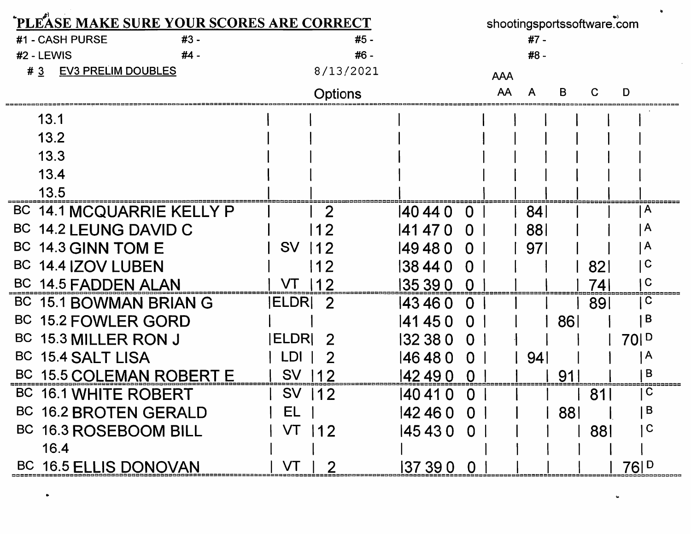| PLEASE MAKE SURE YOUR SCORES ARE CORRECT |                    | shootingsportssoftware.com |            |            |                 |
|------------------------------------------|--------------------|----------------------------|------------|------------|-----------------|
| #1 - CASH PURSE<br>#3 -                  | #5 -               |                            | $#7 -$     |            |                 |
| #2 - LEWIS<br>#4 -                       | #6 -               |                            | #8 -       |            |                 |
| #3<br><b>EV3 PRELIM DOUBLES</b>          | 8/13/2021          |                            | <b>AAA</b> |            |                 |
|                                          | <b>Options</b>     |                            | AA         | В<br>С     | D               |
| 13.1                                     |                    |                            |            |            |                 |
| 13.2                                     |                    |                            |            |            |                 |
| 13.3                                     |                    |                            |            |            |                 |
| 13.4                                     |                    |                            |            |            |                 |
| 13.5                                     |                    |                            |            |            |                 |
| BC 14.1 MCQUARRIE KELLY P                | 2                  | 140 44 0<br>$\Omega$       | 84         |            | A               |
| <b>BC</b><br>14.2 LEUNG DAVID C          |                    | 141 47 0<br>$\Omega$       | 881        |            | $\mathsf{A}$    |
| <b>BC</b><br><b>14.3 GINN TOM E</b>      | <b>SV</b><br>12    | 149480<br>$\Omega$         | 971        |            | $\mathsf{A}$    |
| <b>14.4 IZOV LUBEN</b><br><b>BC</b>      | 12                 | 138 44 0<br>$\Omega$       |            | 82         | $\mathbf C$     |
| BC 14.5 FADDEN ALAN                      |                    | 135 39 0                   |            | 74         | $\mathbf C$     |
| BC 15.1 BOWMAN BRIAN G                   | <b>IELDRI</b><br>2 | 143460<br>$\Omega$         |            | 89         | C               |
| BC 15.2 FOWLER GORD                      |                    | 141450<br>$\Omega$         |            | 86         | B               |
| BC 15.3 MILLER RON J                     | <b>IELDRI</b><br>2 | 132 38 0<br>$\Omega$       |            |            | 70 <sup>1</sup> |
| BC 15.4 SALT LISA                        | LDI                | 146480<br>$\Omega$         | 94         |            | $\mathsf{A}$    |
| BC 15.5 COLEMAN ROBERT E                 | <b>SV</b>          | 42 49 0<br>$\bf{0}$        |            | 91         | B               |
| BC 16.1 WHITE ROBERT                     | <b>SV</b><br> 12   | 140 41 0<br>$\overline{0}$ |            | 81         | $\mathsf{C}$    |
| BC 16.2 BROTEN GERALD                    | EL.                | 424600                     |            | <b>881</b> | B               |
| BC 16.3 ROSEBOOM BILL                    | VT 112             | 145430 0                   |            | 881        | $\mathsf C$     |
| 16.4                                     |                    |                            |            |            |                 |
| BC 16.5 ELLIS DONOVAN                    | VT                 | 137 39 0<br>$\overline{0}$ |            |            | 76 D            |

 $\bullet$ 

 $\mathbf{u}$